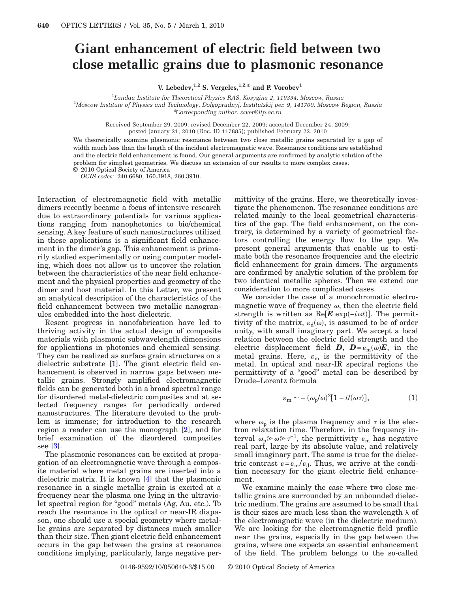## **Giant enhancement of electric field between two close metallic grains due to plasmonic resonance**

**V.** Lebedev,<sup> $1,2$ </sup> **S.** Vergeles,<sup> $1,2,*$ </sup> and P. Vorobev<sup>1</sup>

1 *Landau Institute for Theoretical Physics RAS, Kosygina 2, 119334, Moscow, Russia*

2 *Moscow Institute of Physics and Technology, Dolgoprudnyj, Institutskij per. 9, 141700, Moscow Region, Russia* \**Corresponding author: ssver@itp.ac.ru*

Received September 29, 2009; revised December 22, 2009; accepted December 24, 2009; posted January 21, 2010 (Doc. ID 117885); published February 22, 2010

We theoretically examine plasmonic resonance between two close metallic grains separated by a gap of width much less than the length of the incident electromagnetic wave. Resonance conditions are established and the electric field enhancement is found. Our general arguments are confirmed by analytic solution of the problem for simplest geometries. We discuss an extension of our results to more complex cases.

© 2010 Optical Society of America *OCIS codes:* 240.6680, 160.3918, 260.3910.

Interaction of electromagnetic field with metallic dimers recently became a focus of intensive research due to extraordinary potentials for various applications ranging from nanophotonics to bio/chemical sensing. A key feature of such nanostructures utilized in these applications is a significant field enhancement in the dimer's gap. This enhancement is primarily studied experimentally or using computer modeling, which does not allow us to uncover the relation between the characteristics of the near field enhancement and the physical properties and geometry of the dimer and host material. In this Letter, we present an analytical description of the characteristics of the field enhancement between two metallic nanogranules embedded into the host dielectric.

Resent progress in nanofabrication have led to thriving activity in the actual design of composite materials with plasmonic subwavelength dimensions for applications in photonics and chemical sensing. They can be realized as surface grain structures on a dielectric substrate [\[1\]](#page-2-0). The giant electric field enhancement is observed in narrow gaps between metallic grains. Strongly amplified electromagnetic fields can be generated both in a broad spectral range for disordered metal-dielectric composites and at selected frequency ranges for periodically ordered nanostructures. The literature devoted to the problem is immense; for introduction to the research region a reader can use the monograph [\[2\]](#page-2-1), and for brief examination of the disordered composites see [\[3\]](#page-2-2).

The plasmonic resonances can be excited at propagation of an electromagnetic wave through a composite material where metal grains are inserted into a dielectric matrix. It is known [\[4\]](#page-2-3) that the plasmonic resonance in a single metallic grain is excited at a frequency near the plasma one lying in the ultraviolet spectral region for "good" metals (Ag, Au, etc.). To reach the resonance in the optical or near-IR diapason, one should use a special geometry where metallic grains are separated by distances much smaller than their size. Then giant electric field enhancement occurs in the gap between the grains at resonance conditions implying, particularly, large negative permittivity of the grains. Here, we theoretically investigate the phenomenon. The resonance conditions are related mainly to the local geometrical characteristics of the gap. The field enhancement, on the contrary, is determined by a variety of geometrical factors controlling the energy flow to the gap. We present general arguments that enable us to estimate both the resonance frequencies and the electric field enhancement for grain dimers. The arguments are confirmed by analytic solution of the problem for two identical metallic spheres. Then we extend our consideration to more complicated cases.

We consider the case of a monochromatic electromagnetic wave of frequency  $\omega$ , then the electric field strength is written as  $\text{Re}[\mathbf{E} \exp(-i\omega t)]$ . The permittivity of the matrix,  $\varepsilon_d(\omega)$ , is assumed to be of order unity, with small imaginary part. We accept a local relation between the electric field strength and the electric displacement field  $D$ ,  $D = \varepsilon_m(\omega)E$ , in the metal grains. Here,  $\varepsilon_{\rm m}$  is the permittivity of the metal. In optical and near-IR spectral regions the permittivity of a "good" metal can be described by Drude–Lorentz formula

$$
\varepsilon_{\rm m} \sim -(\omega_{\rm p}/\omega)^2 [1 - i/(\omega \tau)],\tag{1}
$$

<span id="page-0-0"></span>where  $\omega_{\rm n}$  is the plasma frequency and  $\tau$  is the electron relaxation time. Therefore, in the frequency interval  $\omega_{\rm p} \gg \omega \gg \tau^{-1}$ , the permittivity  $\varepsilon_{\rm m}$  has negative real part, large by its absolute value, and relatively small imaginary part. The same is true for the dielectric contrast  $\varepsilon = \varepsilon_{\rm m}/\varepsilon_{\rm d}$ . Thus, we arrive at the condition necessary for the giant electric field enhancement.

We examine mainly the case where two close metallic grains are surrounded by an unbounded dielectric medium. The grains are assumed to be small that is their sizes are much less than the wavelength  $\lambda$  of the electromagnetic wave (in the dielectric medium). We are looking for the electromagnetic field profile near the grains, especially in the gap between the grains, where one expects an essential enhancement of the field. The problem belongs to the so-called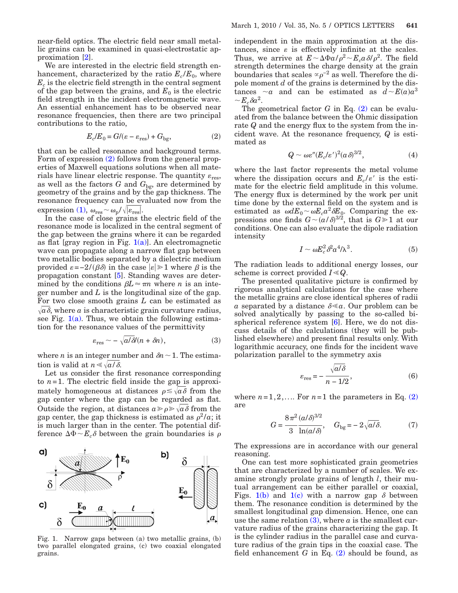near-field optics. The electric field near small metallic grains can be examined in quasi-electrostatic approximation [\[2\]](#page-2-1).

We are interested in the electric field strength enhancement, characterized by the ratio  $E_c/E_0$ , where  $E_c$  is the electric field strength in the central segment of the gap between the grains, and  $E_0$  is the electric field strength in the incident electromagnetic wave. An essential enhancement has to be observed near resonance frequencies, then there are two principal contributions to the ratio,

$$
E_c/E_0 = G/(\varepsilon - \varepsilon_{\text{res}}) + G_{\text{bg}},\tag{2}
$$

<span id="page-1-0"></span>that can be called resonance and background terms. Form of expression [\(2\)](#page-1-0) follows from the general properties of Maxwell equations solutions when all materials have linear electric response. The quantity  $\varepsilon_{\rm res}$ , as well as the factors  $G$  and  $G_{\text{bg}}$ , are determined by geometry of the grains and by the gap thickness. The resonance frequency can be evaluated now from the expression [\(1\),](#page-0-0)  $\omega_{\text{res}} \sim \omega_{\text{p}}/\sqrt{|\varepsilon_{\text{res}}|}$ .

In the case of close grains the electric field of the resonance mode is localized in the central segment of the gap between the grains where it can be regarded as flat [gray region in Fig.  $1(a)$ ]. An electromagnetic wave can propagate along a narrow flat gap between two metallic bodies separated by a dielectric medium provided  $\varepsilon = -2/(\beta \delta)$  in the case  $|\varepsilon| \geq 1$  where  $\beta$  is the propagation constant [\[5\]](#page-2-4). Standing waves are determined by the conditions  $\beta L \approx \pi n$  where *n* is an integer number and *L* is the longitudinal size of the gap. For two close smooth grains *L* can be estimated as  $\sqrt{a} \delta$ , where *a* is characteristic grain curvature radius, see Fig.  $1(a)$ . Thus, we obtain the following estimation for the resonance values of the permittivity

$$
\varepsilon_{\rm res} \sim -\sqrt{a/\delta}(n+\delta n),\tag{3}
$$

<span id="page-1-2"></span>where *n* is an integer number and  $\delta n \sim 1$ . The estimation is valid at  $n \leq \sqrt{a/\delta}$ .

Let us consider the first resonance corresponding to  $n=1$ . The electric field inside the gap is approximately homogeneous at distances  $\rho \leq \sqrt{a} \delta$  from the gap center where the gap can be regarded as flat. Outside the region, at distances  $a \geq \rho \geq \sqrt{a} \delta$  from the gap center, the gap thickness is estimated as  $\rho^2/a$ ; it is much larger than in the center. The potential difference  $\Delta \Phi \sim E_c \delta$  between the grain boundaries is  $\rho$ 

<span id="page-1-1"></span>

Fig. 1. Narrow gaps between (a) two metallic grains, (b) two parallel elongated grains, (c) two coaxial elongated grains.

independent in the main approximation at the distances, since  $\varepsilon$  is effectively infinite at the scales. Thus, we arrive at  $E \sim \Delta \Phi a / \rho^2 \sim E_c a \delta / \rho^2$ . The field strength determines the charge density at the grain boundaries that scales  $\propto \rho^{-2}$  as well. Therefore the dipole moment *d* of the grains is determined by the distances  $\sim a$  and can be estimated as  $d \sim E(a)a^3$  $\sim E_c \delta a^2$ .

The geometrical factor  $G$  in Eq.  $(2)$  can be evaluated from the balance between the Ohmic dissipation rate *Q* and the energy flux to the system from the incident wave. At the resonance frequency, *Q* is estimated as

$$
Q \sim \omega \varepsilon'' (E_c/\varepsilon')^2 (\alpha \delta)^{3/2}, \tag{4}
$$

where the last factor represents the metal volume where the dissipation occurs and  $E_c/\varepsilon'$  is the estimate for the electric field amplitude in this volume. The energy flux is determined by the work per unit time done by the external field on the system and is estimated as  $\omega dE_0 \sim \omega E_c a^2 \delta E_0$ . Comparing the expressions one finds  $G \sim (a/\delta)^{3/2}$ , that is  $G \ge 1$  at our conditions. One can also evaluate the dipole radiation intensity

$$
I \sim \omega E_c^2 \delta^2 a^4 / \lambda^3. \tag{5}
$$

The radiation leads to additional energy losses, our scheme is correct provided  $I \ll Q$ .

The presented qualitative picture is confirmed by rigorous analytical calculations for the case where the metallic grains are close identical spheres of radii *a* separated by a distance  $\delta \le a$ . Our problem can be solved analytically by passing to the so-called bispherical reference system [\[6\]](#page-2-5). Here, we do not discuss details of the calculations (they will be published elsewhere) and present final results only. With logarithmic accuracy, one finds for the incident wave polarization parallel to the symmetry axis

$$
\varepsilon_{\rm res} = -\frac{\sqrt{a/\delta}}{n - 1/2},\tag{6}
$$

where  $n=1,2,...$  For  $n=1$  the parameters in Eq. [\(2\)](#page-1-0) are

$$
G = \frac{8\pi^2}{3} \frac{(a/\delta)^{3/2}}{\ln(a/\delta)}, \quad G_{\text{bg}} = -2\sqrt{a/\delta}. \tag{7}
$$

The expressions are in accordance with our general reasoning.

One can test more sophisticated grain geometries that are characterized by a number of scales. We examine strongly prolate grains of length *l*, their mutual arrangement can be either parallel or coaxial, Figs. [1\(b\)](#page-1-1) and [1\(c\)](#page-1-1) with a narrow gap  $\delta$  between them. The resonance condition is determined by the smallest longitudinal gap dimension. Hence, one can use the same relation  $(3)$ , where *a* is the smallest curvature radius of the grains characterizing the gap. It is the cylinder radius in the parallel case and curvature radius of the grain tips in the coaxial case. The field enhancement *G* in Eq. [\(2\)](#page-1-0) should be found, as